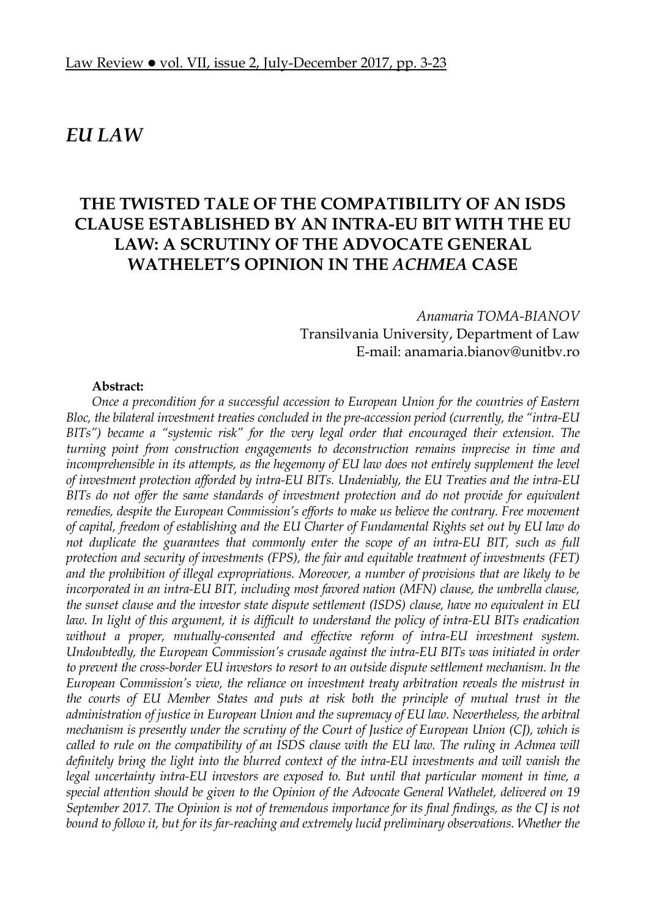# *EU LAW*

# **THE TWISTED TALE OF THE COMPATIBILITY OF AN ISDS CLAUSE ESTABLISHED BY AN INTRA-EU BIT WITH THE EU LAW: A SCRUTINY OF THE ADVOCATE GENERAL WATHELET'S OPINION IN THE** *ACHMEA* **CASE**

*Anamaria TOMA-BIANOV*  Transilvania University, Department of Law E-mail: anamaria.bianov@unitbv.ro

#### **Abstract:**

*Once a precondition for a successful accession to European Union for the countries of Eastern Bloc, the bilateral investment treaties concluded in the pre-accession period (currently, the "intra-EU BITs") became a "systemic risk" for the very legal order that encouraged their extension. The turning point from construction engagements to deconstruction remains imprecise in time and incomprehensible in its attempts, as the hegemony of EU law does not entirely supplement the level of investment protection afforded by intra-EU BITs. Undeniably, the EU Treaties and the intra-EU BITs do not offer the same standards of investment protection and do not provide for equivalent remedies, despite the European Commission's efforts to make us believe the contrary. Free movement of capital, freedom of establishing and the EU Charter of Fundamental Rights set out by EU law do not duplicate the guarantees that commonly enter the scope of an intra-EU BIT, such as full protection and security of investments (FPS), the fair and equitable treatment of investments (FET) and the prohibition of illegal expropriations. Moreover, a number of provisions that are likely to be*  incorporated in an intra-EU BIT, including most favored nation (MFN) clause, the umbrella clause, *the sunset clause and the investor state dispute settlement (ISDS) clause, have no equivalent in EU law. In light of this argument, it is difficult to understand the policy of intra-EU BITs eradication without a proper, mutually-consented and effective reform of intra-EU investment system. Undoubtedly, the European Commission's crusade against the intra-EU BITs was initiated in order to prevent the cross-border EU investors to resort to an outside dispute settlement mechanism. In the European Commission's view, the reliance on investment treaty arbitration reveals the mistrust in the courts of EU Member States and puts at risk both the principle of mutual trust in the administration of justice in European Union and the supremacy of EU law. Nevertheless, the arbitral mechanism is presently under the scrutiny of the Court of Justice of European Union (CJ), which is called to rule on the compatibility of an ISDS clause with the EU law. The ruling in Achmea will definitely bring the light into the blurred context of the intra-EU investments and will vanish the legal uncertainty intra-EU investors are exposed to. But until that particular moment in time, a special attention should be given to the Opinion of the Advocate General Wathelet, delivered on 19 September 2017. The Opinion is not of tremendous importance for its final findings, as the CJ is not bound to follow it, but for its far-reaching and extremely lucid preliminary observations. Whether the*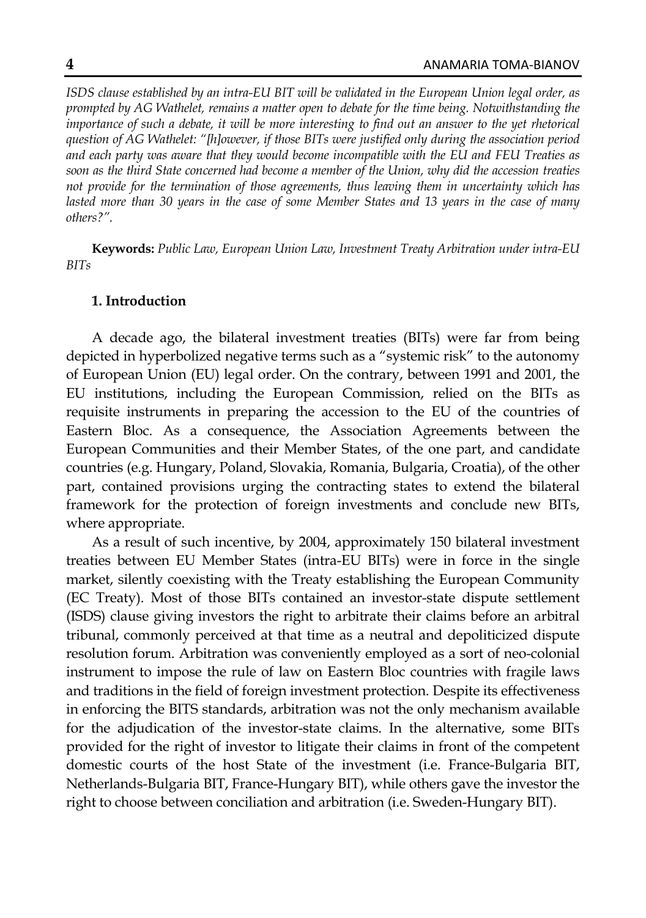*ISDS clause established by an intra-EU BIT will be validated in the European Union legal order, as prompted by AG Wathelet, remains a matter open to debate for the time being. Notwithstanding the importance of such a debate, it will be more interesting to find out an answer to the yet rhetorical question of AG Wathelet: "[h]owever, if those BITs were justified only during the association period and each party was aware that they would become incompatible with the EU and FEU Treaties as soon as the third State concerned had become a member of the Union, why did the accession treaties not provide for the termination of those agreements, thus leaving them in uncertainty which has*  lasted more than 30 years in the case of some Member States and 13 years in the case of many *others?".* 

**Keywords:** *Public Law, European Union Law, Investment Treaty Arbitration under intra-EU BITs* 

### **1. Introduction**

A decade ago, the bilateral investment treaties (BITs) were far from being depicted in hyperbolized negative terms such as a "systemic risk" to the autonomy of European Union (EU) legal order. On the contrary, between 1991 and 2001, the EU institutions, including the European Commission, relied on the BITs as requisite instruments in preparing the accession to the EU of the countries of Eastern Bloc. As a consequence, the Association Agreements between the European Communities and their Member States, of the one part, and candidate countries (e.g. Hungary, Poland, Slovakia, Romania, Bulgaria, Croatia), of the other part, contained provisions urging the contracting states to extend the bilateral framework for the protection of foreign investments and conclude new BITs, where appropriate.

As a result of such incentive, by 2004, approximately 150 bilateral investment treaties between EU Member States (intra-EU BITs) were in force in the single market, silently coexisting with the Treaty establishing the European Community (EC Treaty). Most of those BITs contained an investor-state dispute settlement (ISDS) clause giving investors the right to arbitrate their claims before an arbitral tribunal, commonly perceived at that time as a neutral and depoliticized dispute resolution forum. Arbitration was conveniently employed as a sort of neo-colonial instrument to impose the rule of law on Eastern Bloc countries with fragile laws and traditions in the field of foreign investment protection. Despite its effectiveness in enforcing the BITS standards, arbitration was not the only mechanism available for the adjudication of the investor-state claims. In the alternative, some BITs provided for the right of investor to litigate their claims in front of the competent domestic courts of the host State of the investment (i.e. France-Bulgaria BIT, Netherlands-Bulgaria BIT, France-Hungary BIT), while others gave the investor the right to choose between conciliation and arbitration (i.e. Sweden-Hungary BIT).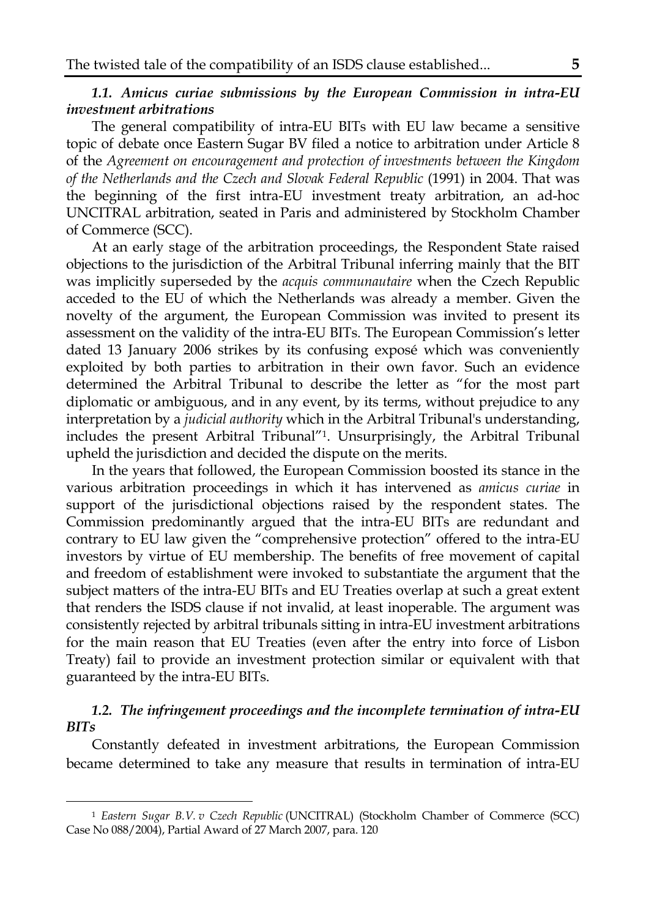# *1.1. Amicus curiae submissions by the European Commission in intra-EU investment arbitrations*

The general compatibility of intra-EU BITs with EU law became a sensitive topic of debate once Eastern Sugar BV filed a notice to arbitration under Article 8 of the *Agreement on encouragement and protection of investments between the Kingdom of the Netherlands and the Czech and Slovak Federal Republic* (1991) in 2004. That was the beginning of the first intra-EU investment treaty arbitration, an ad-hoc UNCITRAL arbitration, seated in Paris and administered by Stockholm Chamber of Commerce (SCC).

At an early stage of the arbitration proceedings, the Respondent State raised objections to the jurisdiction of the Arbitral Tribunal inferring mainly that the BIT was implicitly superseded by the *acquis communautaire* when the Czech Republic acceded to the EU of which the Netherlands was already a member. Given the novelty of the argument, the European Commission was invited to present its assessment on the validity of the intra-EU BITs. The European Commission's letter dated 13 January 2006 strikes by its confusing exposé which was conveniently exploited by both parties to arbitration in their own favor. Such an evidence determined the Arbitral Tribunal to describe the letter as "for the most part diplomatic or ambiguous, and in any event, by its terms, without prejudice to any interpretation by a *judicial authority* which in the Arbitral Tribunal's understanding, includes the present Arbitral Tribunal"1. Unsurprisingly, the Arbitral Tribunal upheld the jurisdiction and decided the dispute on the merits.

In the years that followed, the European Commission boosted its stance in the various arbitration proceedings in which it has intervened as *amicus curiae* in support of the jurisdictional objections raised by the respondent states. The Commission predominantly argued that the intra-EU BITs are redundant and contrary to EU law given the "comprehensive protection" offered to the intra-EU investors by virtue of EU membership. The benefits of free movement of capital and freedom of establishment were invoked to substantiate the argument that the subject matters of the intra-EU BITs and EU Treaties overlap at such a great extent that renders the ISDS clause if not invalid, at least inoperable. The argument was consistently rejected by arbitral tribunals sitting in intra-EU investment arbitrations for the main reason that EU Treaties (even after the entry into force of Lisbon Treaty) fail to provide an investment protection similar or equivalent with that guaranteed by the intra-EU BITs.

# *1.2. The infringement proceedings and the incomplete termination of intra-EU BITs*

Constantly defeated in investment arbitrations, the European Commission became determined to take any measure that results in termination of intra-EU

<sup>1</sup> *Eastern Sugar B.V. v Czech Republic* (UNCITRAL) (Stockholm Chamber of Commerce (SCC) Case No 088/2004), Partial Award of 27 March 2007, para. 120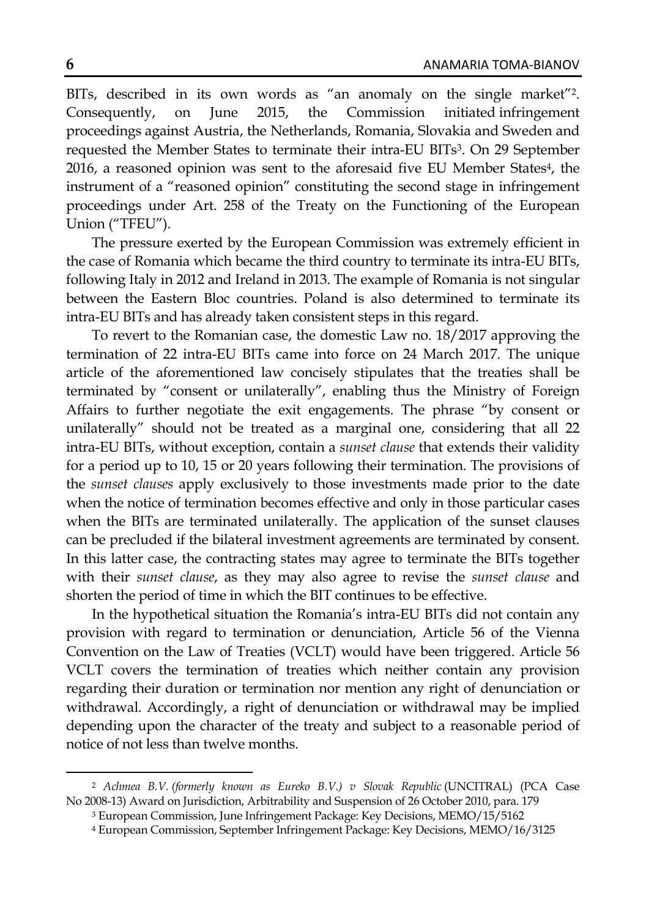BITs, described in its own words as "an anomaly on the single market"<sup>2</sup>. Consequently, on June 2015, the Commission initiated infringement proceedings against Austria, the Netherlands, Romania, Slovakia and Sweden and requested the Member States to terminate their intra-EU BITs3. On 29 September 2016, a reasoned opinion was sent to the aforesaid five EU Member States<sup>4</sup>, the instrument of a "reasoned opinion" constituting the second stage in infringement proceedings under Art. 258 of the Treaty on the Functioning of the European Union ("TFEU").

The pressure exerted by the European Commission was extremely efficient in the case of Romania which became the third country to terminate its intra-EU BITs, following Italy in 2012 and Ireland in 2013. The example of Romania is not singular between the Eastern Bloc countries. Poland is also determined to terminate its intra-EU BITs and has already taken consistent steps in this regard.

To revert to the Romanian case, the domestic Law no. 18/2017 approving the termination of 22 intra-EU BITs came into force on 24 March 2017. The unique article of the aforementioned law concisely stipulates that the treaties shall be terminated by "consent or unilaterally", enabling thus the Ministry of Foreign Affairs to further negotiate the exit engagements. The phrase "by consent or unilaterally" should not be treated as a marginal one, considering that all 22 intra-EU BITs, without exception, contain a *sunset clause* that extends their validity for a period up to 10, 15 or 20 years following their termination. The provisions of the *sunset clauses* apply exclusively to those investments made prior to the date when the notice of termination becomes effective and only in those particular cases when the BITs are terminated unilaterally. The application of the sunset clauses can be precluded if the bilateral investment agreements are terminated by consent. In this latter case, the contracting states may agree to terminate the BITs together with their *sunset clause*, as they may also agree to revise the *sunset clause* and shorten the period of time in which the BIT continues to be effective.

In the hypothetical situation the Romania's intra-EU BITs did not contain any provision with regard to termination or denunciation, Article 56 of the Vienna Convention on the Law of Treaties (VCLT) would have been triggered. Article 56 VCLT covers the termination of treaties which neither contain any provision regarding their duration or termination nor mention any right of denunciation or withdrawal. Accordingly, a right of denunciation or withdrawal may be implied depending upon the character of the treaty and subject to a reasonable period of notice of not less than twelve months.

<sup>&</sup>lt;sup>2</sup> Achmea B.V. (formerly known as Eureko B.V.) v Slovak Republic (UNCITRAL) (PCA Case No 2008-13) Award on Jurisdiction, Arbitrability and Suspension of 26 October 2010, para. 179

<sup>3</sup> European Commission, June Infringement Package: Key Decisions, MEMO/15/5162

<sup>4</sup> European Commission, September Infringement Package: Key Decisions, MEMO/16/3125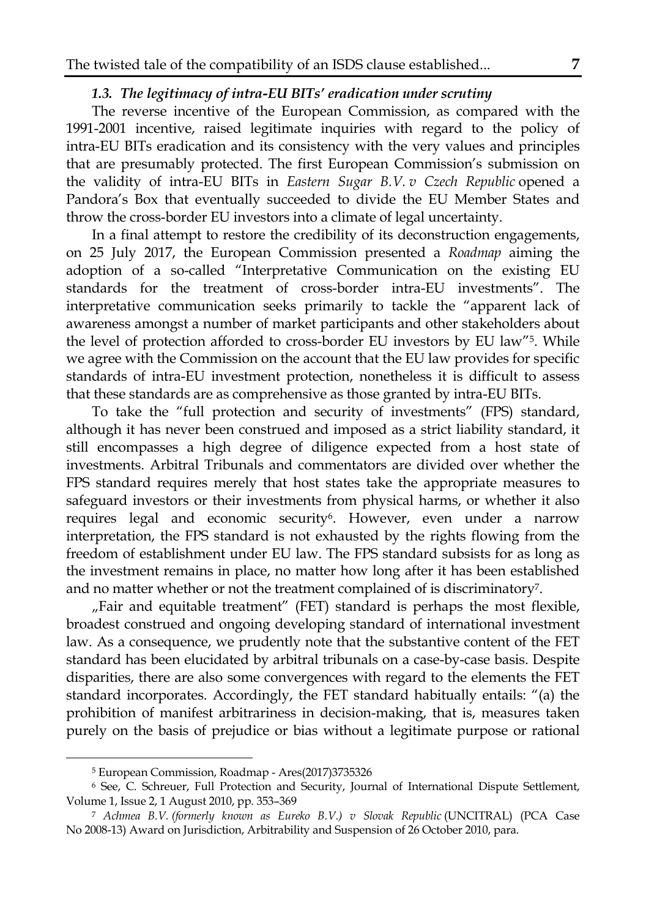# *1.3. The legitimacy of intra-EU BITs' eradication under scrutiny*

The reverse incentive of the European Commission, as compared with the 1991-2001 incentive, raised legitimate inquiries with regard to the policy of intra-EU BITs eradication and its consistency with the very values and principles that are presumably protected. The first European Commission's submission on the validity of intra-EU BITs in *Eastern Sugar B.V. v Czech Republic* opened a Pandora's Box that eventually succeeded to divide the EU Member States and throw the cross-border EU investors into a climate of legal uncertainty.

In a final attempt to restore the credibility of its deconstruction engagements, on 25 July 2017, the European Commission presented a *Roadmap* aiming the adoption of a so-called "Interpretative Communication on the existing EU standards for the treatment of cross-border intra-EU investments". The interpretative communication seeks primarily to tackle the "apparent lack of awareness amongst a number of market participants and other stakeholders about the level of protection afforded to cross-border EU investors by EU law"5. While we agree with the Commission on the account that the EU law provides for specific standards of intra-EU investment protection, nonetheless it is difficult to assess that these standards are as comprehensive as those granted by intra-EU BITs.

To take the "full protection and security of investments" (FPS) standard, although it has never been construed and imposed as a strict liability standard, it still encompasses a high degree of diligence expected from a host state of investments. Arbitral Tribunals and commentators are divided over whether the FPS standard requires merely that host states take the appropriate measures to safeguard investors or their investments from physical harms, or whether it also requires legal and economic security<sup>6</sup>. However, even under a narrow interpretation, the FPS standard is not exhausted by the rights flowing from the freedom of establishment under EU law. The FPS standard subsists for as long as the investment remains in place, no matter how long after it has been established and no matter whether or not the treatment complained of is discriminatory7.

"Fair and equitable treatment" (FET) standard is perhaps the most flexible, broadest construed and ongoing developing standard of international investment law. As a consequence, we prudently note that the substantive content of the FET standard has been elucidated by arbitral tribunals on a case-by-case basis. Despite disparities, there are also some convergences with regard to the elements the FET standard incorporates. Accordingly, the FET standard habitually entails: "(a) the prohibition of manifest arbitrariness in decision-making, that is, measures taken purely on the basis of prejudice or bias without a legitimate purpose or rational

 $\overline{a}$ 

<sup>5</sup> European Commission, Roadmap - Ares(2017)3735326

<sup>6</sup> See, C. Schreuer, Full Protection and Security, Journal of International Dispute Settlement, Volume 1, Issue 2, 1 August 2010, pp. 353–369

<sup>7</sup> *Achmea B.V. (formerly known as Eureko B.V.) v Slovak Republic* (UNCITRAL) (PCA Case No 2008-13) Award on Jurisdiction, Arbitrability and Suspension of 26 October 2010, para.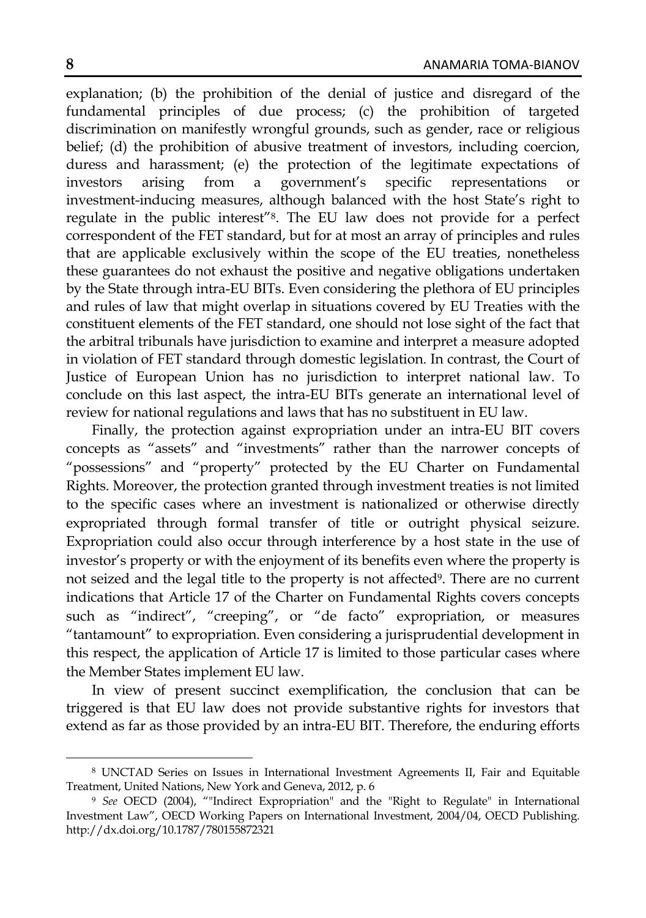explanation; (b) the prohibition of the denial of justice and disregard of the fundamental principles of due process; (c) the prohibition of targeted discrimination on manifestly wrongful grounds, such as gender, race or religious belief; (d) the prohibition of abusive treatment of investors, including coercion, duress and harassment; (e) the protection of the legitimate expectations of investors arising from a government's specific representations or investment-inducing measures, although balanced with the host State's right to regulate in the public interest"8. The EU law does not provide for a perfect correspondent of the FET standard, but for at most an array of principles and rules that are applicable exclusively within the scope of the EU treaties, nonetheless these guarantees do not exhaust the positive and negative obligations undertaken by the State through intra-EU BITs. Even considering the plethora of EU principles and rules of law that might overlap in situations covered by EU Treaties with the constituent elements of the FET standard, one should not lose sight of the fact that the arbitral tribunals have jurisdiction to examine and interpret a measure adopted in violation of FET standard through domestic legislation. In contrast, the Court of Justice of European Union has no jurisdiction to interpret national law. To conclude on this last aspect, the intra-EU BITs generate an international level of review for national regulations and laws that has no substituent in EU law.

Finally, the protection against expropriation under an intra-EU BIT covers concepts as "assets" and "investments" rather than the narrower concepts of "possessions" and "property" protected by the EU Charter on Fundamental Rights. Moreover, the protection granted through investment treaties is not limited to the specific cases where an investment is nationalized or otherwise directly expropriated through formal transfer of title or outright physical seizure. Expropriation could also occur through interference by a host state in the use of investor's property or with the enjoyment of its benefits even where the property is not seized and the legal title to the property is not affected<sup>9</sup>. There are no current indications that Article 17 of the Charter on Fundamental Rights covers concepts such as "indirect", "creeping", or "de facto" expropriation, or measures "tantamount" to expropriation. Even considering a jurisprudential development in this respect, the application of Article 17 is limited to those particular cases where the Member States implement EU law.

In view of present succinct exemplification, the conclusion that can be triggered is that EU law does not provide substantive rights for investors that extend as far as those provided by an intra-EU BIT. Therefore, the enduring efforts

 $\overline{a}$ 

<sup>8</sup> UNCTAD Series on Issues in International Investment Agreements II, Fair and Equitable Treatment, United Nations, New York and Geneva, 2012, p. 6

<sup>9</sup> *See* OECD (2004), ""Indirect Expropriation" and the "Right to Regulate" in International Investment Law", OECD Working Papers on International Investment, 2004/04, OECD Publishing. http://dx.doi.org/10.1787/780155872321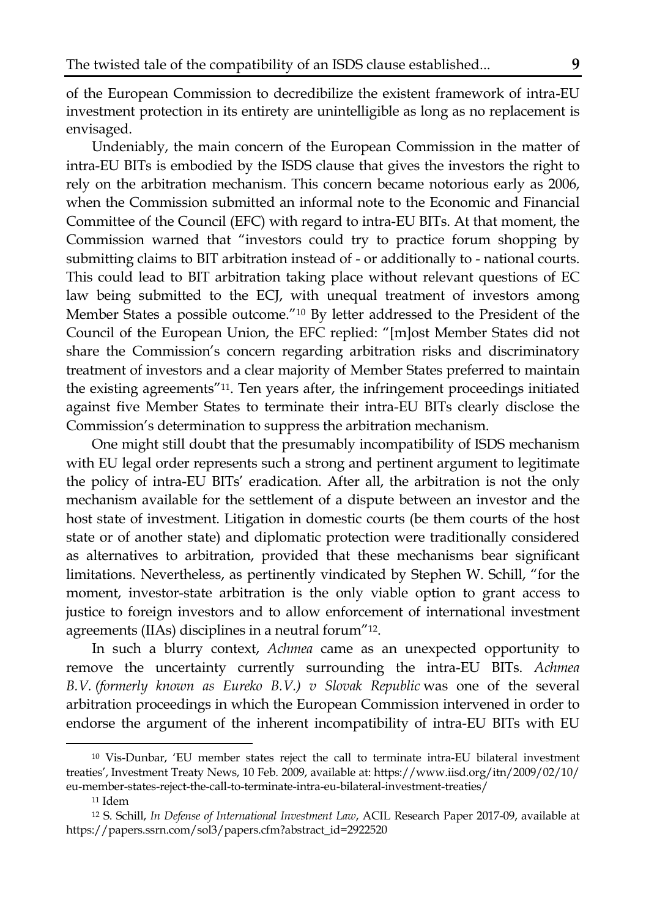of the European Commission to decredibilize the existent framework of intra-EU investment protection in its entirety are unintelligible as long as no replacement is envisaged.

Undeniably, the main concern of the European Commission in the matter of intra-EU BITs is embodied by the ISDS clause that gives the investors the right to rely on the arbitration mechanism. This concern became notorious early as 2006, when the Commission submitted an informal note to the Economic and Financial Committee of the Council (EFC) with regard to intra-EU BITs. At that moment, the Commission warned that "investors could try to practice forum shopping by submitting claims to BIT arbitration instead of - or additionally to - national courts. This could lead to BIT arbitration taking place without relevant questions of EC law being submitted to the ECJ, with unequal treatment of investors among Member States a possible outcome."10 By letter addressed to the President of the Council of the European Union, the EFC replied: "[m]ost Member States did not share the Commission's concern regarding arbitration risks and discriminatory treatment of investors and a clear majority of Member States preferred to maintain the existing agreements"11. Ten years after, the infringement proceedings initiated against five Member States to terminate their intra-EU BITs clearly disclose the Commission's determination to suppress the arbitration mechanism.

One might still doubt that the presumably incompatibility of ISDS mechanism with EU legal order represents such a strong and pertinent argument to legitimate the policy of intra-EU BITs' eradication. After all, the arbitration is not the only mechanism available for the settlement of a dispute between an investor and the host state of investment. Litigation in domestic courts (be them courts of the host state or of another state) and diplomatic protection were traditionally considered as alternatives to arbitration, provided that these mechanisms bear significant limitations. Nevertheless, as pertinently vindicated by Stephen W. Schill, "for the moment, investor-state arbitration is the only viable option to grant access to justice to foreign investors and to allow enforcement of international investment agreements (IIAs) disciplines in a neutral forum"12.

In such a blurry context, *Achmea* came as an unexpected opportunity to remove the uncertainty currently surrounding the intra-EU BITs. *Achmea B.V. (formerly known as Eureko B.V.) v Slovak Republic* was one of the several arbitration proceedings in which the European Commission intervened in order to endorse the argument of the inherent incompatibility of intra-EU BITs with EU

 $\overline{a}$ 

<sup>10</sup> Vis-Dunbar, 'EU member states reject the call to terminate intra-EU bilateral investment treaties', Investment Treaty News, 10 Feb. 2009, available at: https://www.iisd.org/itn/2009/02/10/ eu-member-states-reject-the-call-to-terminate-intra-eu-bilateral-investment-treaties/

<sup>11</sup> Idem

<sup>12</sup> S. Schill, *In Defense of International Investment Law*, ACIL Research Paper 2017-09, available at https://papers.ssrn.com/sol3/papers.cfm?abstract\_id=2922520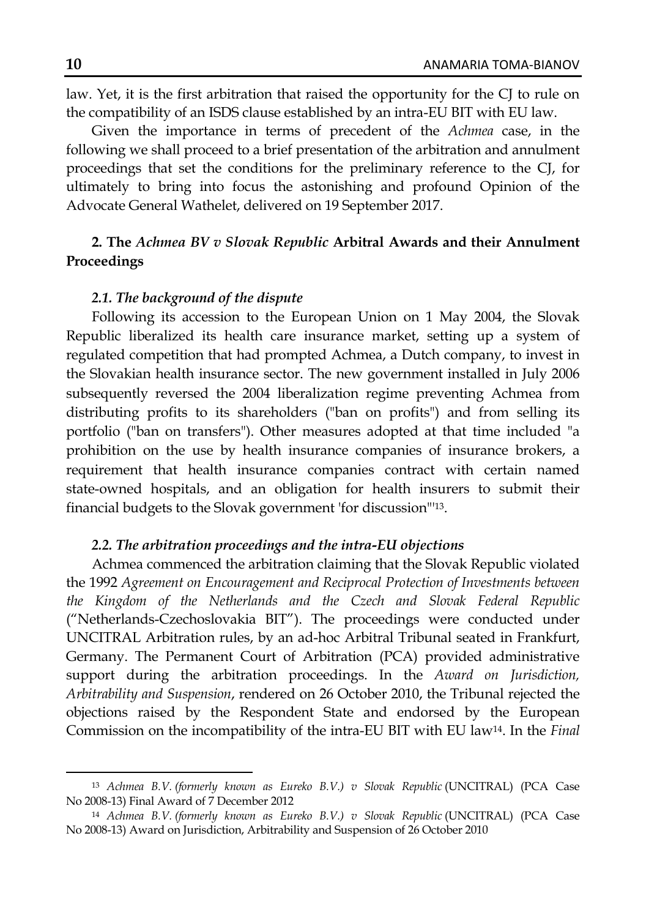law. Yet, it is the first arbitration that raised the opportunity for the CJ to rule on the compatibility of an ISDS clause established by an intra-EU BIT with EU law.

Given the importance in terms of precedent of the *Achmea* case, in the following we shall proceed to a brief presentation of the arbitration and annulment proceedings that set the conditions for the preliminary reference to the CJ, for ultimately to bring into focus the astonishing and profound Opinion of the Advocate General Wathelet, delivered on 19 September 2017.

# **2. The** *Achmea BV v Slovak Republic* **Arbitral Awards and their Annulment Proceedings**

#### *2.1. The background of the dispute*

Following its accession to the European Union on 1 May 2004, the Slovak Republic liberalized its health care insurance market, setting up a system of regulated competition that had prompted Achmea, a Dutch company, to invest in the Slovakian health insurance sector. The new government installed in July 2006 subsequently reversed the 2004 liberalization regime preventing Achmea from distributing profits to its shareholders ("ban on profits") and from selling its portfolio ("ban on transfers"). Other measures adopted at that time included "a prohibition on the use by health insurance companies of insurance brokers, a requirement that health insurance companies contract with certain named state-owned hospitals, and an obligation for health insurers to submit their financial budgets to the Slovak government 'for discussion"'13.

#### *2.2. The arbitration proceedings and the intra-EU objections*

Achmea commenced the arbitration claiming that the Slovak Republic violated the 1992 *Agreement on Encouragement and Reciprocal Protection of Investments between the Kingdom of the Netherlands and the Czech and Slovak Federal Republic* ("Netherlands-Czechoslovakia BIT"). The proceedings were conducted under UNCITRAL Arbitration rules, by an ad-hoc Arbitral Tribunal seated in Frankfurt, Germany. The Permanent Court of Arbitration (PCA) provided administrative support during the arbitration proceedings. In the *Award on Jurisdiction, Arbitrability and Suspension*, rendered on 26 October 2010, the Tribunal rejected the objections raised by the Respondent State and endorsed by the European Commission on the incompatibility of the intra-EU BIT with EU law14. In the *Final* 

<sup>&</sup>lt;sup>13</sup> Achmea B.V. (formerly known as Eureko B.V.) v Slovak Republic (UNCITRAL) (PCA Case No 2008-13) Final Award of 7 December 2012

<sup>&</sup>lt;sup>14</sup> Achmea B.V. (formerly known as Eureko B.V.) v Slovak Republic (UNCITRAL) (PCA Case No 2008-13) Award on Jurisdiction, Arbitrability and Suspension of 26 October 2010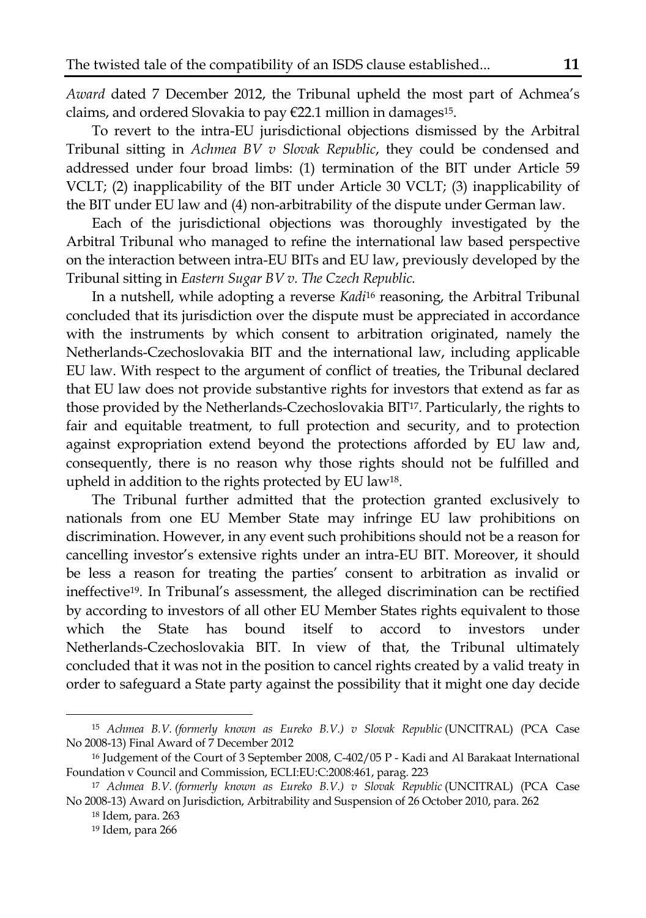*Award* dated 7 December 2012, the Tribunal upheld the most part of Achmea's claims, and ordered Slovakia to pay €22.1 million in damages15.

To revert to the intra-EU jurisdictional objections dismissed by the Arbitral Tribunal sitting in *Achmea BV v Slovak Republic*, they could be condensed and addressed under four broad limbs: (1) termination of the BIT under Article 59 VCLT; (2) inapplicability of the BIT under Article 30 VCLT; (3) inapplicability of the BIT under EU law and (4) non-arbitrability of the dispute under German law.

Each of the jurisdictional objections was thoroughly investigated by the Arbitral Tribunal who managed to refine the international law based perspective on the interaction between intra-EU BITs and EU law, previously developed by the Tribunal sitting in *Eastern Sugar BV v. The Czech Republic.* 

In a nutshell, while adopting a reverse *Kadi*<sup>16</sup> reasoning, the Arbitral Tribunal concluded that its jurisdiction over the dispute must be appreciated in accordance with the instruments by which consent to arbitration originated, namely the Netherlands-Czechoslovakia BIT and the international law, including applicable EU law. With respect to the argument of conflict of treaties, the Tribunal declared that EU law does not provide substantive rights for investors that extend as far as those provided by the Netherlands-Czechoslovakia BIT17. Particularly, the rights to fair and equitable treatment, to full protection and security, and to protection against expropriation extend beyond the protections afforded by EU law and, consequently, there is no reason why those rights should not be fulfilled and upheld in addition to the rights protected by EU law18.

The Tribunal further admitted that the protection granted exclusively to nationals from one EU Member State may infringe EU law prohibitions on discrimination. However, in any event such prohibitions should not be a reason for cancelling investor's extensive rights under an intra-EU BIT. Moreover, it should be less a reason for treating the parties' consent to arbitration as invalid or ineffective19. In Tribunal's assessment, the alleged discrimination can be rectified by according to investors of all other EU Member States rights equivalent to those which the State has bound itself to accord to investors under Netherlands-Czechoslovakia BIT. In view of that, the Tribunal ultimately concluded that it was not in the position to cancel rights created by a valid treaty in order to safeguard a State party against the possibility that it might one day decide

<sup>&</sup>lt;sup>15</sup> Achmea B.V. (formerly known as Eureko B.V.) v Slovak Republic (UNCITRAL) (PCA Case No 2008-13) Final Award of 7 December 2012

<sup>16</sup> Judgement of the Court of 3 September 2008, C-402/05 P - Kadi and Al Barakaat International Foundation v Council and Commission, ECLI:EU:C:2008:461, parag. 223

<sup>&</sup>lt;sup>17</sup> Achmea B.V. (formerly known as Eureko B.V.) v Slovak Republic (UNCITRAL) (PCA Case No 2008-13) Award on Jurisdiction, Arbitrability and Suspension of 26 October 2010, para. 262

<sup>18</sup> Idem, para. 263

<sup>19</sup> Idem, para 266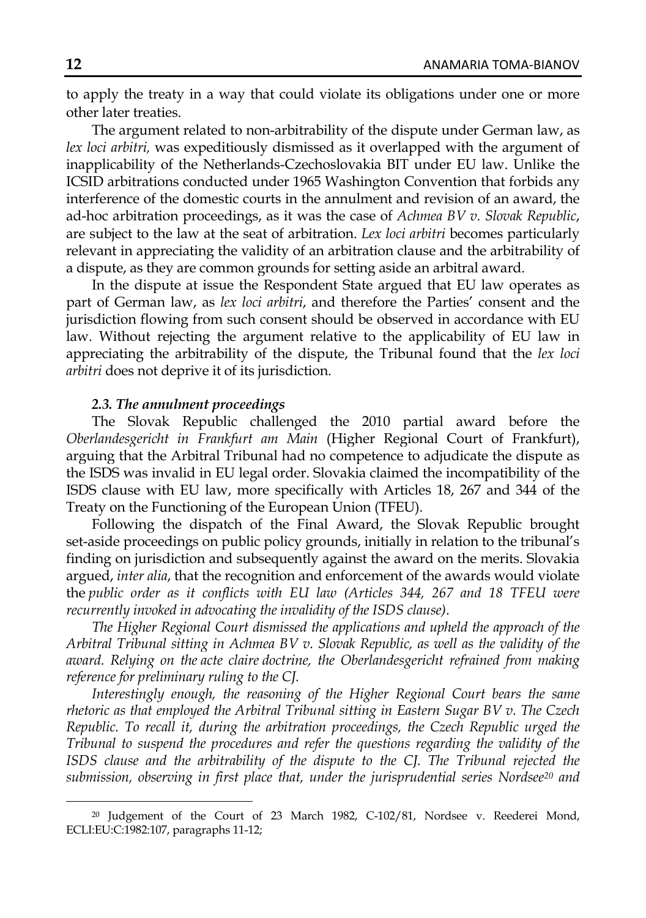to apply the treaty in a way that could violate its obligations under one or more other later treaties.

The argument related to non-arbitrability of the dispute under German law, as *lex loci arbitri,* was expeditiously dismissed as it overlapped with the argument of inapplicability of the Netherlands-Czechoslovakia BIT under EU law. Unlike the ICSID arbitrations conducted under 1965 Washington Convention that forbids any interference of the domestic courts in the annulment and revision of an award, the ad-hoc arbitration proceedings, as it was the case of *Achmea BV v. Slovak Republic*, are subject to the law at the seat of arbitration. *Lex loci arbitri* becomes particularly relevant in appreciating the validity of an arbitration clause and the arbitrability of a dispute, as they are common grounds for setting aside an arbitral award.

In the dispute at issue the Respondent State argued that EU law operates as part of German law, as *lex loci arbitri*, and therefore the Parties' consent and the jurisdiction flowing from such consent should be observed in accordance with EU law. Without rejecting the argument relative to the applicability of EU law in appreciating the arbitrability of the dispute, the Tribunal found that the *lex loci arbitri* does not deprive it of its jurisdiction.

## *2.3. The annulment proceedings*

The Slovak Republic challenged the 2010 partial award before the *Oberlandesgericht in Frankfurt am Main* (Higher Regional Court of Frankfurt), arguing that the Arbitral Tribunal had no competence to adjudicate the dispute as the ISDS was invalid in EU legal order. Slovakia claimed the incompatibility of the ISDS clause with EU law, more specifically with Articles 18, 267 and 344 of the Treaty on the Functioning of the European Union (TFEU).

Following the dispatch of the Final Award, the Slovak Republic brought set-aside proceedings on public policy grounds, initially in relation to the tribunal's finding on jurisdiction and subsequently against the award on the merits. Slovakia argued, *inter alia*, that the recognition and enforcement of the awards would violate the *public order as it conflicts with EU law (Articles 344, 267 and 18 TFEU were recurrently invoked in advocating the invalidity of the ISDS clause)*.

*The Higher Regional Court dismissed the applications and upheld the approach of the Arbitral Tribunal sitting in Achmea BV v. Slovak Republic, as well as the validity of the award. Relying on the acte claire doctrine, the Oberlandesgericht refrained from making reference for preliminary ruling to the CJ.* 

*Interestingly enough, the reasoning of the Higher Regional Court bears the same rhetoric as that employed the Arbitral Tribunal sitting in Eastern Sugar BV v. The Czech Republic. To recall it, during the arbitration proceedings, the Czech Republic urged the Tribunal to suspend the procedures and refer the questions regarding the validity of the ISDS clause and the arbitrability of the dispute to the CJ. The Tribunal rejected the submission, observing in first place that, under the jurisprudential series Nordsee20 and* 

<sup>20</sup> Judgement of the Court of 23 March 1982, C-102/81, Nordsee v. Reederei Mond, ECLI:EU:C:1982:107, paragraphs 11-12;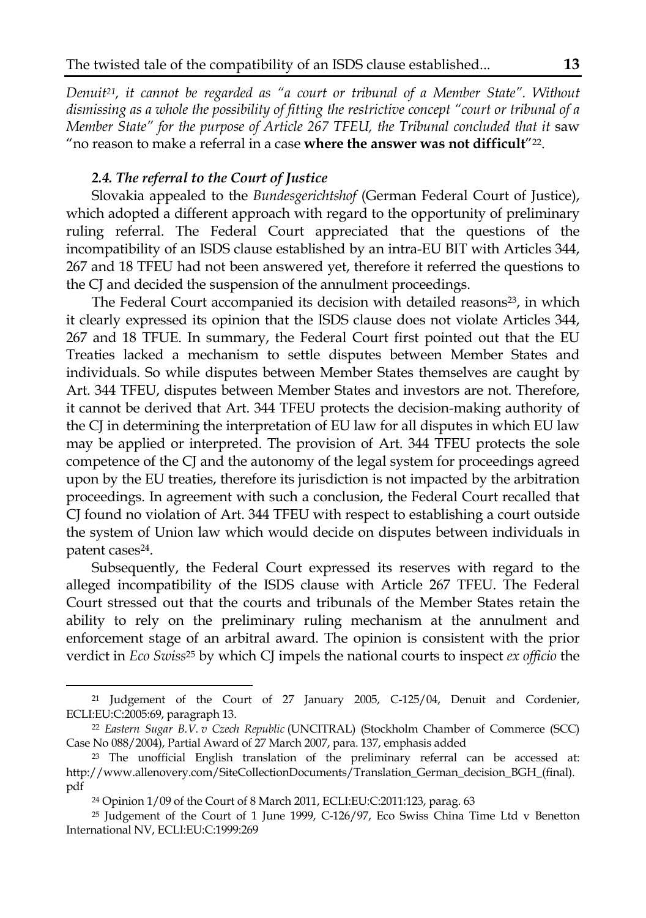*Denuit21, it cannot be regarded as "a court or tribunal of a Member State". Without dismissing as a whole the possibility of fitting the restrictive concept "court or tribunal of a Member State" for the purpose of Article 267 TFEU, the Tribunal concluded that it saw* "no reason to make a referral in a case **where the answer was not difficult**"22.

## *2.4. The referral to the Court of Justice*

Slovakia appealed to the *Bundesgerichtshof* (German Federal Court of Justice), which adopted a different approach with regard to the opportunity of preliminary ruling referral. The Federal Court appreciated that the questions of the incompatibility of an ISDS clause established by an intra-EU BIT with Articles 344, 267 and 18 TFEU had not been answered yet, therefore it referred the questions to the CJ and decided the suspension of the annulment proceedings.

The Federal Court accompanied its decision with detailed reasons<sup>23</sup>, in which it clearly expressed its opinion that the ISDS clause does not violate Articles 344, 267 and 18 TFUE. In summary, the Federal Court first pointed out that the EU Treaties lacked a mechanism to settle disputes between Member States and individuals. So while disputes between Member States themselves are caught by Art. 344 TFEU, disputes between Member States and investors are not. Therefore, it cannot be derived that Art. 344 TFEU protects the decision-making authority of the CJ in determining the interpretation of EU law for all disputes in which EU law may be applied or interpreted. The provision of Art. 344 TFEU protects the sole competence of the CJ and the autonomy of the legal system for proceedings agreed upon by the EU treaties, therefore its jurisdiction is not impacted by the arbitration proceedings. In agreement with such a conclusion, the Federal Court recalled that CJ found no violation of Art. 344 TFEU with respect to establishing a court outside the system of Union law which would decide on disputes between individuals in patent cases<sup>24</sup>.

Subsequently, the Federal Court expressed its reserves with regard to the alleged incompatibility of the ISDS clause with Article 267 TFEU. The Federal Court stressed out that the courts and tribunals of the Member States retain the ability to rely on the preliminary ruling mechanism at the annulment and enforcement stage of an arbitral award. The opinion is consistent with the prior verdict in *Eco Swiss*25 by which CJ impels the national courts to inspect *ex officio* the

<sup>21</sup> Judgement of the Court of 27 January 2005, C-125/04, Denuit and Cordenier, ECLI:EU:C:2005:69, paragraph 13.

<sup>22</sup> *Eastern Sugar B.V. v Czech Republic* (UNCITRAL) (Stockholm Chamber of Commerce (SCC) Case No 088/2004), Partial Award of 27 March 2007, para. 137, emphasis added

<sup>23</sup> The unofficial English translation of the preliminary referral can be accessed at: http://www.allenovery.com/SiteCollectionDocuments/Translation\_German\_decision\_BGH\_(final). pdf

<sup>24</sup> Opinion 1/09 of the Court of 8 March 2011, ECLI:EU:C:2011:123, parag. 63

<sup>25</sup> Judgement of the Court of 1 June 1999, C-126/97, Eco Swiss China Time Ltd v Benetton International NV, ECLI:EU:C:1999:269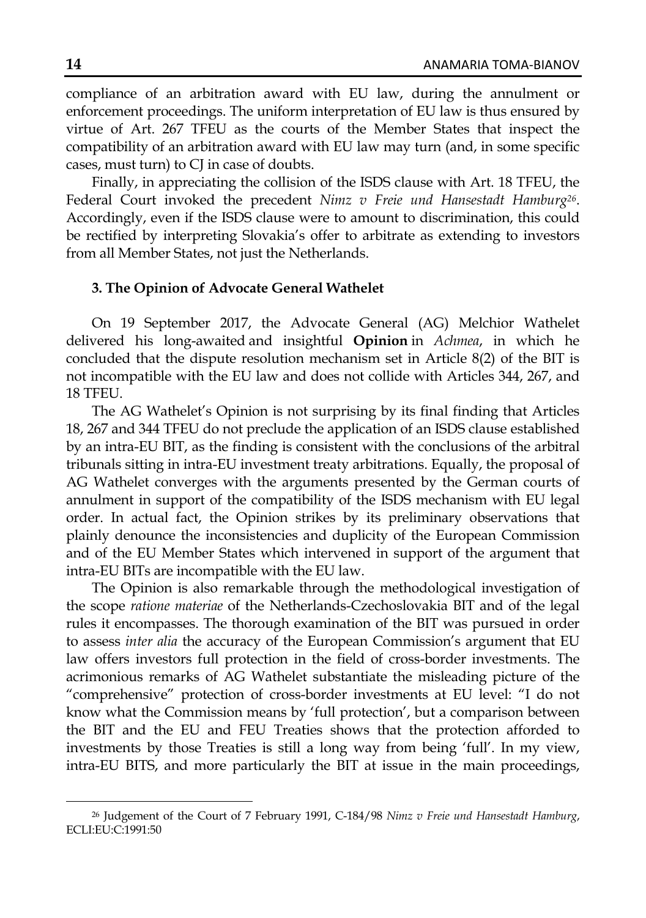compliance of an arbitration award with EU law, during the annulment or enforcement proceedings. The uniform interpretation of EU law is thus ensured by virtue of Art. 267 TFEU as the courts of the Member States that inspect the compatibility of an arbitration award with EU law may turn (and, in some specific cases, must turn) to CJ in case of doubts.

Finally, in appreciating the collision of the ISDS clause with Art. 18 TFEU, the Federal Court invoked the precedent *Nimz v Freie und Hansestadt Hamburg26*. Accordingly, even if the ISDS clause were to amount to discrimination, this could be rectified by interpreting Slovakia's offer to arbitrate as extending to investors from all Member States, not just the Netherlands.

## **3. The Opinion of Advocate General Wathelet**

On 19 September 2017, the Advocate General (AG) Melchior Wathelet delivered his long-awaited and insightful **Opinion** in *Achmea*, in which he concluded that the dispute resolution mechanism set in Article 8(2) of the BIT is not incompatible with the EU law and does not collide with Articles 344, 267, and 18 TFEU.

The AG Wathelet's Opinion is not surprising by its final finding that Articles 18, 267 and 344 TFEU do not preclude the application of an ISDS clause established by an intra-EU BIT, as the finding is consistent with the conclusions of the arbitral tribunals sitting in intra-EU investment treaty arbitrations. Equally, the proposal of AG Wathelet converges with the arguments presented by the German courts of annulment in support of the compatibility of the ISDS mechanism with EU legal order. In actual fact, the Opinion strikes by its preliminary observations that plainly denounce the inconsistencies and duplicity of the European Commission and of the EU Member States which intervened in support of the argument that intra-EU BITs are incompatible with the EU law.

The Opinion is also remarkable through the methodological investigation of the scope *ratione materiae* of the Netherlands-Czechoslovakia BIT and of the legal rules it encompasses. The thorough examination of the BIT was pursued in order to assess *inter alia* the accuracy of the European Commission's argument that EU law offers investors full protection in the field of cross-border investments. The acrimonious remarks of AG Wathelet substantiate the misleading picture of the "comprehensive" protection of cross-border investments at EU level: "I do not know what the Commission means by 'full protection', but a comparison between the BIT and the EU and FEU Treaties shows that the protection afforded to investments by those Treaties is still a long way from being 'full'. In my view, intra-EU BITS, and more particularly the BIT at issue in the main proceedings,

<sup>26</sup> Judgement of the Court of 7 February 1991, C-184/98 *Nimz v Freie und Hansestadt Hamburg*, ECLI:EU:C:1991:50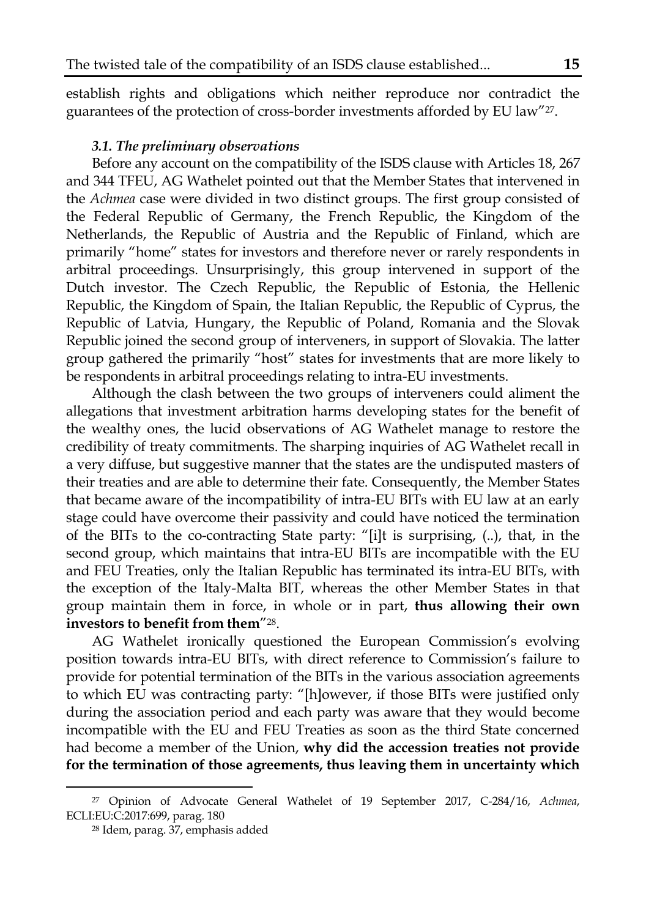establish rights and obligations which neither reproduce nor contradict the guarantees of the protection of cross-border investments afforded by EU law"27.

#### *3.1. The preliminary observations*

Before any account on the compatibility of the ISDS clause with Articles 18, 267 and 344 TFEU, AG Wathelet pointed out that the Member States that intervened in the *Achmea* case were divided in two distinct groups. The first group consisted of the Federal Republic of Germany, the French Republic, the Kingdom of the Netherlands, the Republic of Austria and the Republic of Finland, which are primarily "home" states for investors and therefore never or rarely respondents in arbitral proceedings. Unsurprisingly, this group intervened in support of the Dutch investor. The Czech Republic, the Republic of Estonia, the Hellenic Republic, the Kingdom of Spain, the Italian Republic, the Republic of Cyprus, the Republic of Latvia, Hungary, the Republic of Poland, Romania and the Slovak Republic joined the second group of interveners, in support of Slovakia. The latter group gathered the primarily "host" states for investments that are more likely to be respondents in arbitral proceedings relating to intra-EU investments.

Although the clash between the two groups of interveners could aliment the allegations that investment arbitration harms developing states for the benefit of the wealthy ones, the lucid observations of AG Wathelet manage to restore the credibility of treaty commitments. The sharping inquiries of AG Wathelet recall in a very diffuse, but suggestive manner that the states are the undisputed masters of their treaties and are able to determine their fate. Consequently, the Member States that became aware of the incompatibility of intra-EU BITs with EU law at an early stage could have overcome their passivity and could have noticed the termination of the BITs to the co-contracting State party: "[i]t is surprising, (..), that, in the second group, which maintains that intra-EU BITs are incompatible with the EU and FEU Treaties, only the Italian Republic has terminated its intra-EU BITs, with the exception of the Italy-Malta BIT, whereas the other Member States in that group maintain them in force, in whole or in part, **thus allowing their own investors to benefit from them**"28.

AG Wathelet ironically questioned the European Commission's evolving position towards intra-EU BITs, with direct reference to Commission's failure to provide for potential termination of the BITs in the various association agreements to which EU was contracting party: "[h]owever, if those BITs were justified only during the association period and each party was aware that they would become incompatible with the EU and FEU Treaties as soon as the third State concerned had become a member of the Union, **why did the accession treaties not provide for the termination of those agreements, thus leaving them in uncertainty which** 

<sup>27</sup> Opinion of Advocate General Wathelet of 19 September 2017, C-284/16, *Achmea*, ECLI:EU:C:2017:699, parag. 180

<sup>28</sup> Idem, parag. 37, emphasis added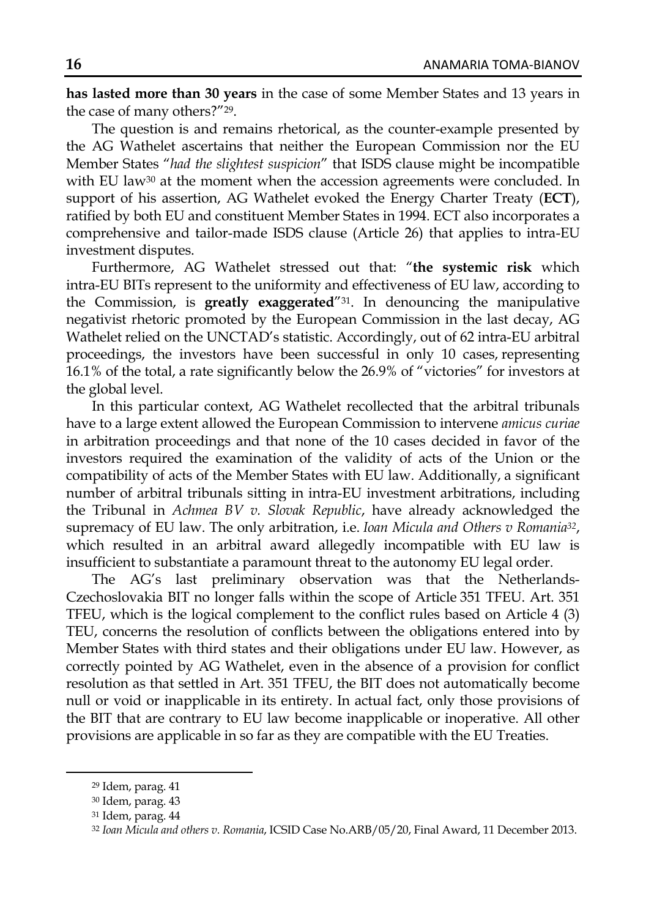**has lasted more than 30 years** in the case of some Member States and 13 years in the case of many others?"29.

The question is and remains rhetorical, as the counter-example presented by the AG Wathelet ascertains that neither the European Commission nor the EU Member States "*had the slightest suspicion*" that ISDS clause might be incompatible with EU law<sup>30</sup> at the moment when the accession agreements were concluded. In support of his assertion, AG Wathelet evoked the Energy Charter Treaty (**ECT**), ratified by both EU and constituent Member States in 1994. ECT also incorporates a comprehensive and tailor-made ISDS clause (Article 26) that applies to intra-EU investment disputes.

Furthermore, AG Wathelet stressed out that: "**the systemic risk** which intra-EU BITs represent to the uniformity and effectiveness of EU law, according to the Commission, is **greatly exaggerated**"31. In denouncing the manipulative negativist rhetoric promoted by the European Commission in the last decay, AG Wathelet relied on the UNCTAD's statistic. Accordingly, out of 62 intra-EU arbitral proceedings, the investors have been successful in only 10 cases, representing 16.1% of the total, a rate significantly below the 26.9% of "victories" for investors at the global level.

In this particular context, AG Wathelet recollected that the arbitral tribunals have to a large extent allowed the European Commission to intervene *amicus curiae* in arbitration proceedings and that none of the 10 cases decided in favor of the investors required the examination of the validity of acts of the Union or the compatibility of acts of the Member States with EU law. Additionally, a significant number of arbitral tribunals sitting in intra-EU investment arbitrations, including the Tribunal in *Achmea BV v. Slovak Republic*, have already acknowledged the supremacy of EU law. The only arbitration, i.e. *Ioan Micula and Others v Romania32*, which resulted in an arbitral award allegedly incompatible with EU law is insufficient to substantiate a paramount threat to the autonomy EU legal order.

The AG's last preliminary observation was that the Netherlands-Czechoslovakia BIT no longer falls within the scope of Article 351 TFEU. Art. 351 TFEU, which is the logical complement to the conflict rules based on Article 4 (3) TEU, concerns the resolution of conflicts between the obligations entered into by Member States with third states and their obligations under EU law. However, as correctly pointed by AG Wathelet, even in the absence of a provision for conflict resolution as that settled in Art. 351 TFEU, the BIT does not automatically become null or void or inapplicable in its entirety. In actual fact, only those provisions of the BIT that are contrary to EU law become inapplicable or inoperative. All other provisions are applicable in so far as they are compatible with the EU Treaties.

<sup>29</sup> Idem, parag. 41

<sup>30</sup> Idem, parag. 43

<sup>31</sup> Idem, parag. 44

<sup>32</sup> *Ioan Micula and others v. Romania*, ICSID Case No.ARB/05/20, Final Award, 11 December 2013.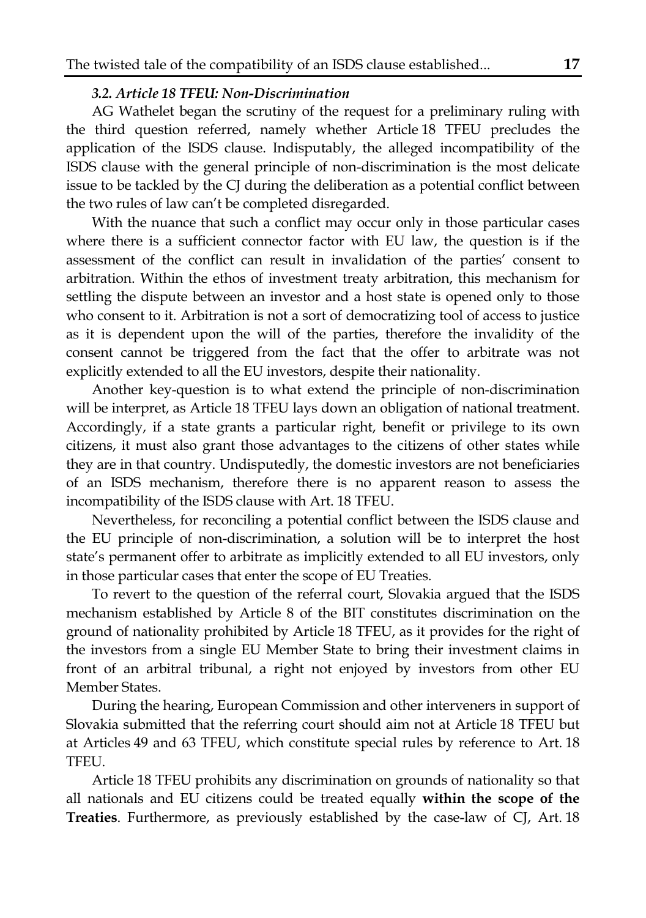# *3.2. Article 18 TFEU: Non-Discrimination*

AG Wathelet began the scrutiny of the request for a preliminary ruling with the third question referred, namely whether Article 18 TFEU precludes the application of the ISDS clause. Indisputably, the alleged incompatibility of the ISDS clause with the general principle of non-discrimination is the most delicate issue to be tackled by the CJ during the deliberation as a potential conflict between the two rules of law can't be completed disregarded.

With the nuance that such a conflict may occur only in those particular cases where there is a sufficient connector factor with EU law, the question is if the assessment of the conflict can result in invalidation of the parties' consent to arbitration. Within the ethos of investment treaty arbitration, this mechanism for settling the dispute between an investor and a host state is opened only to those who consent to it. Arbitration is not a sort of democratizing tool of access to justice as it is dependent upon the will of the parties, therefore the invalidity of the consent cannot be triggered from the fact that the offer to arbitrate was not explicitly extended to all the EU investors, despite their nationality.

Another key-question is to what extend the principle of non-discrimination will be interpret, as Article 18 TFEU lays down an obligation of national treatment. Accordingly, if a state grants a particular right, benefit or privilege to its own citizens, it must also grant those advantages to the citizens of other states while they are in that country. Undisputedly, the domestic investors are not beneficiaries of an ISDS mechanism, therefore there is no apparent reason to assess the incompatibility of the ISDS clause with Art. 18 TFEU.

Nevertheless, for reconciling a potential conflict between the ISDS clause and the EU principle of non-discrimination, a solution will be to interpret the host state's permanent offer to arbitrate as implicitly extended to all EU investors, only in those particular cases that enter the scope of EU Treaties.

To revert to the question of the referral court, Slovakia argued that the ISDS mechanism established by Article 8 of the BIT constitutes discrimination on the ground of nationality prohibited by Article 18 TFEU, as it provides for the right of the investors from a single EU Member State to bring their investment claims in front of an arbitral tribunal, a right not enjoyed by investors from other EU Member States.

During the hearing, European Commission and other interveners in support of Slovakia submitted that the referring court should aim not at Article 18 TFEU but at Articles 49 and 63 TFEU, which constitute special rules by reference to Art. 18 TFEU.

Article 18 TFEU prohibits any discrimination on grounds of nationality so that all nationals and EU citizens could be treated equally **within the scope of the Treaties**. Furthermore, as previously established by the case-law of CJ, Art. 18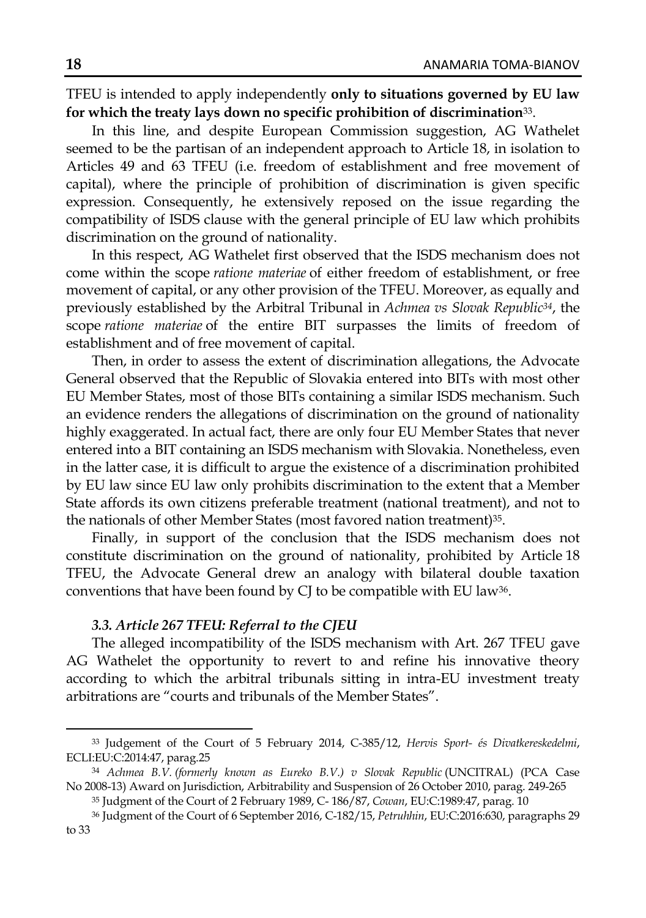TFEU is intended to apply independently **only to situations governed by EU law for which the treaty lays down no specific prohibition of discrimination**33.

In this line, and despite European Commission suggestion, AG Wathelet seemed to be the partisan of an independent approach to Article 18, in isolation to Articles 49 and 63 TFEU (i.e. freedom of establishment and free movement of capital), where the principle of prohibition of discrimination is given specific expression. Consequently, he extensively reposed on the issue regarding the compatibility of ISDS clause with the general principle of EU law which prohibits discrimination on the ground of nationality.

In this respect, AG Wathelet first observed that the ISDS mechanism does not come within the scope *ratione materiae* of either freedom of establishment, or free movement of capital, or any other provision of the TFEU. Moreover, as equally and previously established by the Arbitral Tribunal in *Achmea vs Slovak Republic34*, the scope *ratione materiae* of the entire BIT surpasses the limits of freedom of establishment and of free movement of capital.

Then, in order to assess the extent of discrimination allegations, the Advocate General observed that the Republic of Slovakia entered into BITs with most other EU Member States, most of those BITs containing a similar ISDS mechanism. Such an evidence renders the allegations of discrimination on the ground of nationality highly exaggerated. In actual fact, there are only four EU Member States that never entered into a BIT containing an ISDS mechanism with Slovakia. Nonetheless, even in the latter case, it is difficult to argue the existence of a discrimination prohibited by EU law since EU law only prohibits discrimination to the extent that a Member State affords its own citizens preferable treatment (national treatment), and not to the nationals of other Member States (most favored nation treatment)<sup>35</sup>.

Finally, in support of the conclusion that the ISDS mechanism does not constitute discrimination on the ground of nationality, prohibited by Article 18 TFEU, the Advocate General drew an analogy with bilateral double taxation conventions that have been found by CJ to be compatible with EU law36.

### *3.3. Article 267 TFEU: Referral to the CJEU*

The alleged incompatibility of the ISDS mechanism with Art. 267 TFEU gave AG Wathelet the opportunity to revert to and refine his innovative theory according to which the arbitral tribunals sitting in intra-EU investment treaty arbitrations are "courts and tribunals of the Member States".

<sup>33</sup> Judgement of the Court of 5 February 2014, C-385/12, *Hervis Sport- és Divatkereskedelmi*, ECLI:EU:C:2014:47, parag.25

<sup>&</sup>lt;sup>34</sup> Achmea B.V. (formerly known as Eureko B.V.) v Slovak Republic (UNCITRAL) (PCA Case No 2008-13) Award on Jurisdiction, Arbitrability and Suspension of 26 October 2010, parag. 249-265

<sup>35</sup> Judgment of the Court of 2 February 1989, C- 186/87, *Cowan*, EU:C:1989:47, parag. 10

<sup>36</sup> Judgment of the Court of 6 September 2016, C-182/15, *Petruhhin*, EU:C:2016:630, paragraphs 29 to 33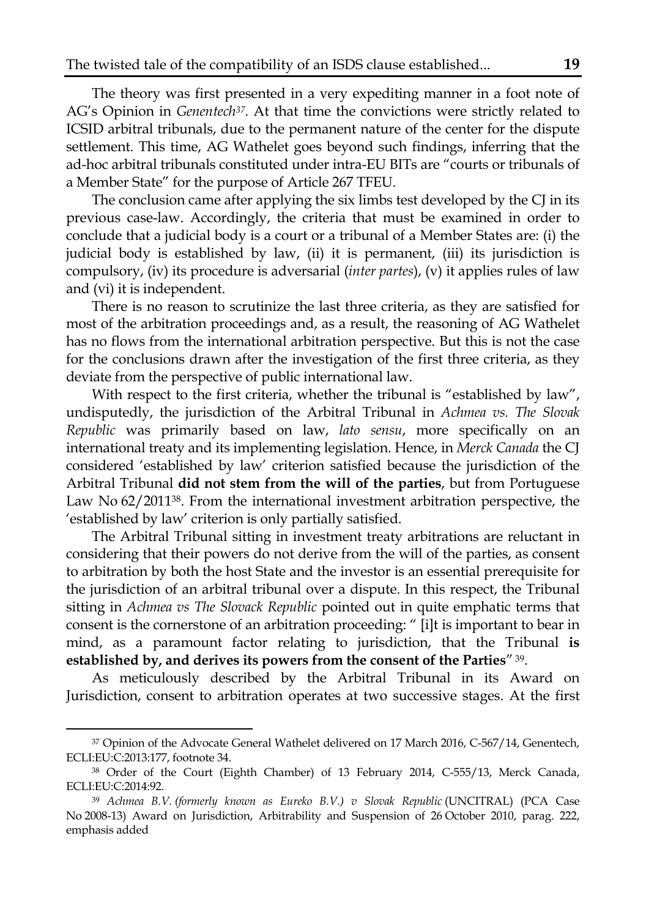The theory was first presented in a very expediting manner in a foot note of AG's Opinion in *Genentech37*. At that time the convictions were strictly related to ICSID arbitral tribunals, due to the permanent nature of the center for the dispute settlement. This time, AG Wathelet goes beyond such findings, inferring that the ad-hoc arbitral tribunals constituted under intra-EU BITs are "courts or tribunals of a Member State" for the purpose of Article 267 TFEU.

The conclusion came after applying the six limbs test developed by the CJ in its previous case-law. Accordingly, the criteria that must be examined in order to conclude that a judicial body is a court or a tribunal of a Member States are: (i) the judicial body is established by law, (ii) it is permanent, (iii) its jurisdiction is compulsory, (iv) its procedure is adversarial (*inter partes*), (v) it applies rules of law and (vi) it is independent.

There is no reason to scrutinize the last three criteria, as they are satisfied for most of the arbitration proceedings and, as a result, the reasoning of AG Wathelet has no flows from the international arbitration perspective. But this is not the case for the conclusions drawn after the investigation of the first three criteria, as they deviate from the perspective of public international law.

With respect to the first criteria, whether the tribunal is "established by law", undisputedly, the jurisdiction of the Arbitral Tribunal in *Achmea vs. The Slovak Republic* was primarily based on law, *lato sensu*, more specifically on an international treaty and its implementing legislation. Hence, in *Merck Canada* the CJ considered 'established by law' criterion satisfied because the jurisdiction of the Arbitral Tribunal **did not stem from the will of the parties**, but from Portuguese Law No 62/201138. From the international investment arbitration perspective, the 'established by law' criterion is only partially satisfied.

The Arbitral Tribunal sitting in investment treaty arbitrations are reluctant in considering that their powers do not derive from the will of the parties, as consent to arbitration by both the host State and the investor is an essential prerequisite for the jurisdiction of an arbitral tribunal over a dispute. In this respect, the Tribunal sitting in *Achmea vs The Slovack Republic* pointed out in quite emphatic terms that consent is the cornerstone of an arbitration proceeding: " [i]t is important to bear in mind, as a paramount factor relating to jurisdiction, that the Tribunal **is established by, and derives its powers from the consent of the Parties**" 39.

As meticulously described by the Arbitral Tribunal in its Award on Jurisdiction, consent to arbitration operates at two successive stages. At the first

<sup>37</sup> Opinion of the Advocate General Wathelet delivered on 17 March 2016, C-567/14, Genentech, ECLI:EU:C:2013:177, footnote 34.

<sup>38</sup> Order of the Court (Eighth Chamber) of 13 February 2014, C-555/13, Merck Canada, ECLI:EU:C:2014:92.

<sup>&</sup>lt;sup>39</sup> Achmea B.V. (formerly known as Eureko B.V.) v Slovak Republic (UNCITRAL) (PCA Case No 2008-13) Award on Jurisdiction, Arbitrability and Suspension of 26 October 2010, parag. 222, emphasis added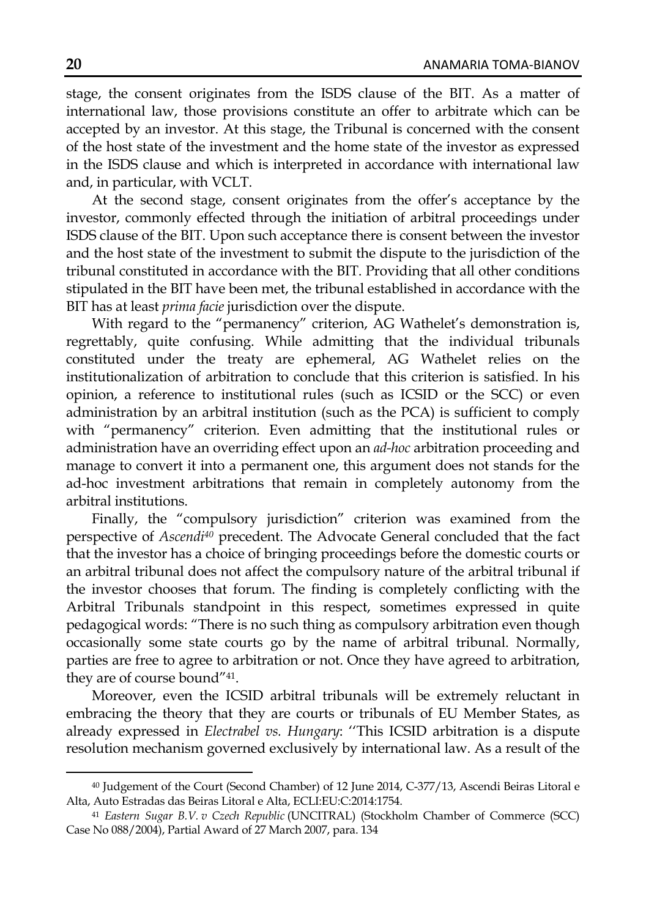stage, the consent originates from the ISDS clause of the BIT. As a matter of international law, those provisions constitute an offer to arbitrate which can be accepted by an investor. At this stage, the Tribunal is concerned with the consent of the host state of the investment and the home state of the investor as expressed in the ISDS clause and which is interpreted in accordance with international law and, in particular, with VCLT.

At the second stage, consent originates from the offer's acceptance by the investor, commonly effected through the initiation of arbitral proceedings under ISDS clause of the BIT. Upon such acceptance there is consent between the investor and the host state of the investment to submit the dispute to the jurisdiction of the tribunal constituted in accordance with the BIT. Providing that all other conditions stipulated in the BIT have been met, the tribunal established in accordance with the BIT has at least *prima facie* jurisdiction over the dispute.

With regard to the "permanency" criterion, AG Wathelet's demonstration is, regrettably, quite confusing. While admitting that the individual tribunals constituted under the treaty are ephemeral, AG Wathelet relies on the institutionalization of arbitration to conclude that this criterion is satisfied. In his opinion, a reference to institutional rules (such as ICSID or the SCC) or even administration by an arbitral institution (such as the PCA) is sufficient to comply with "permanency" criterion. Even admitting that the institutional rules or administration have an overriding effect upon an *ad-hoc* arbitration proceeding and manage to convert it into a permanent one, this argument does not stands for the ad-hoc investment arbitrations that remain in completely autonomy from the arbitral institutions.

Finally, the "compulsory jurisdiction" criterion was examined from the perspective of *Ascendi40* precedent. The Advocate General concluded that the fact that the investor has a choice of bringing proceedings before the domestic courts or an arbitral tribunal does not affect the compulsory nature of the arbitral tribunal if the investor chooses that forum. The finding is completely conflicting with the Arbitral Tribunals standpoint in this respect, sometimes expressed in quite pedagogical words: "There is no such thing as compulsory arbitration even though occasionally some state courts go by the name of arbitral tribunal. Normally, parties are free to agree to arbitration or not. Once they have agreed to arbitration, they are of course bound"41.

Moreover, even the ICSID arbitral tribunals will be extremely reluctant in embracing the theory that they are courts or tribunals of EU Member States, as already expressed in *Electrabel vs. Hungary*: ''This ICSID arbitration is a dispute resolution mechanism governed exclusively by international law. As a result of the

<sup>40</sup> Judgement of the Court (Second Chamber) of 12 June 2014, C-377/13, Ascendi Beiras Litoral e Alta, Auto Estradas das Beiras Litoral e Alta, ECLI:EU:C:2014:1754.

<sup>41</sup> *Eastern Sugar B.V. v Czech Republic* (UNCITRAL) (Stockholm Chamber of Commerce (SCC) Case No 088/2004), Partial Award of 27 March 2007, para. 134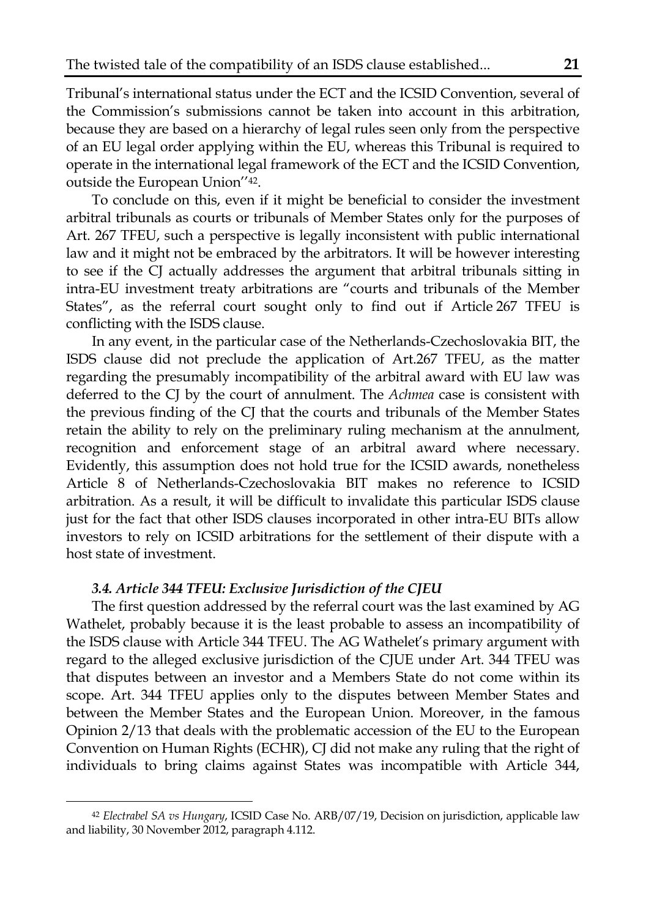Tribunal's international status under the ECT and the ICSID Convention, several of the Commission's submissions cannot be taken into account in this arbitration, because they are based on a hierarchy of legal rules seen only from the perspective of an EU legal order applying within the EU, whereas this Tribunal is required to operate in the international legal framework of the ECT and the ICSID Convention, outside the European Union''42.

To conclude on this, even if it might be beneficial to consider the investment arbitral tribunals as courts or tribunals of Member States only for the purposes of Art. 267 TFEU, such a perspective is legally inconsistent with public international law and it might not be embraced by the arbitrators. It will be however interesting to see if the CJ actually addresses the argument that arbitral tribunals sitting in intra-EU investment treaty arbitrations are "courts and tribunals of the Member States", as the referral court sought only to find out if Article 267 TFEU is conflicting with the ISDS clause.

In any event, in the particular case of the Netherlands-Czechoslovakia BIT, the ISDS clause did not preclude the application of Art.267 TFEU, as the matter regarding the presumably incompatibility of the arbitral award with EU law was deferred to the CJ by the court of annulment. The *Achmea* case is consistent with the previous finding of the CJ that the courts and tribunals of the Member States retain the ability to rely on the preliminary ruling mechanism at the annulment, recognition and enforcement stage of an arbitral award where necessary. Evidently, this assumption does not hold true for the ICSID awards, nonetheless Article 8 of Netherlands-Czechoslovakia BIT makes no reference to ICSID arbitration. As a result, it will be difficult to invalidate this particular ISDS clause just for the fact that other ISDS clauses incorporated in other intra-EU BITs allow investors to rely on ICSID arbitrations for the settlement of their dispute with a host state of investment.

# *3.4. Article 344 TFEU: Exclusive Jurisdiction of the CJEU*

 $\overline{\phantom{a}}$ 

The first question addressed by the referral court was the last examined by AG Wathelet, probably because it is the least probable to assess an incompatibility of the ISDS clause with Article 344 TFEU. The AG Wathelet's primary argument with regard to the alleged exclusive jurisdiction of the CJUE under Art. 344 TFEU was that disputes between an investor and a Members State do not come within its scope. Art. 344 TFEU applies only to the disputes between Member States and between the Member States and the European Union. Moreover, in the famous Opinion 2/13 that deals with the problematic accession of the EU to the European Convention on Human Rights (ECHR), CJ did not make any ruling that the right of individuals to bring claims against States was incompatible with Article 344,

<sup>42</sup> *Electrabel SA vs Hungary*, ICSID Case No. ARB/07/19, Decision on jurisdiction, applicable law and liability, 30 November 2012, paragraph 4.112.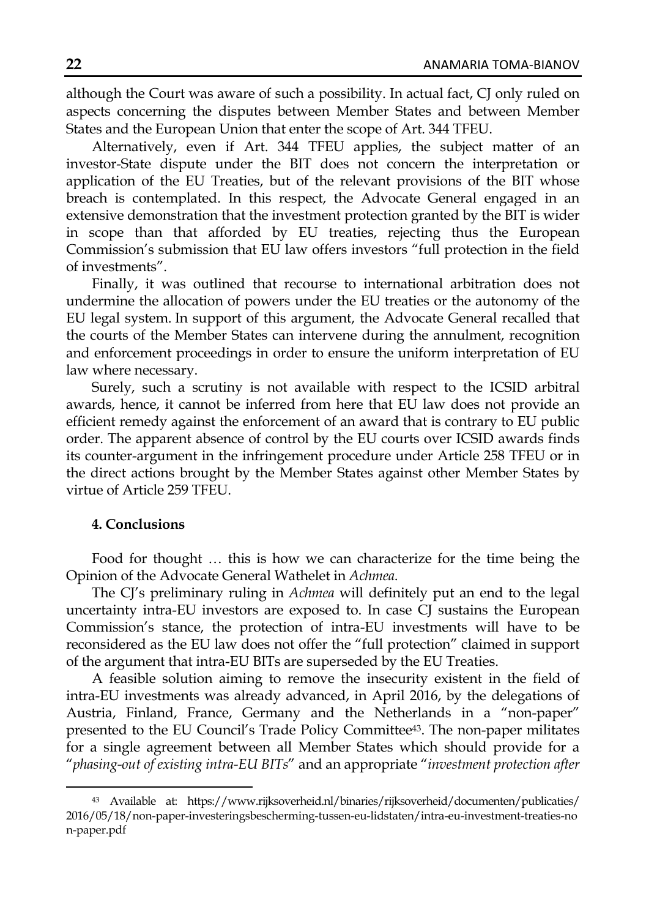although the Court was aware of such a possibility. In actual fact, CJ only ruled on aspects concerning the disputes between Member States and between Member States and the European Union that enter the scope of Art. 344 TFEU.

Alternatively, even if Art. 344 TFEU applies, the subject matter of an investor-State dispute under the BIT does not concern the interpretation or application of the EU Treaties, but of the relevant provisions of the BIT whose breach is contemplated. In this respect, the Advocate General engaged in an extensive demonstration that the investment protection granted by the BIT is wider in scope than that afforded by EU treaties, rejecting thus the European Commission's submission that EU law offers investors "full protection in the field of investments".

Finally, it was outlined that recourse to international arbitration does not undermine the allocation of powers under the EU treaties or the autonomy of the EU legal system. In support of this argument, the Advocate General recalled that the courts of the Member States can intervene during the annulment, recognition and enforcement proceedings in order to ensure the uniform interpretation of EU law where necessary.

Surely, such a scrutiny is not available with respect to the ICSID arbitral awards, hence, it cannot be inferred from here that EU law does not provide an efficient remedy against the enforcement of an award that is contrary to EU public order. The apparent absence of control by the EU courts over ICSID awards finds its counter-argument in the infringement procedure under Article 258 TFEU or in the direct actions brought by the Member States against other Member States by virtue of Article 259 TFEU.

#### **4. Conclusions**

 $\overline{\phantom{a}}$ 

Food for thought … this is how we can characterize for the time being the Opinion of the Advocate General Wathelet in *Achmea*.

The CJ's preliminary ruling in *Achmea* will definitely put an end to the legal uncertainty intra-EU investors are exposed to. In case CJ sustains the European Commission's stance, the protection of intra-EU investments will have to be reconsidered as the EU law does not offer the "full protection" claimed in support of the argument that intra-EU BITs are superseded by the EU Treaties.

A feasible solution aiming to remove the insecurity existent in the field of intra-EU investments was already advanced, in April 2016, by the delegations of Austria, Finland, France, Germany and the Netherlands in a "non-paper" presented to the EU Council's Trade Policy Committee43. The non-paper militates for a single agreement between all Member States which should provide for a "*phasing-out of existing intra-EU BITs*" and an appropriate "*investment protection after* 

<sup>43</sup> Available at: https://www.rijksoverheid.nl/binaries/rijksoverheid/documenten/publicaties/ 2016/05/18/non-paper-investeringsbescherming-tussen-eu-lidstaten/intra-eu-investment-treaties-no n-paper.pdf